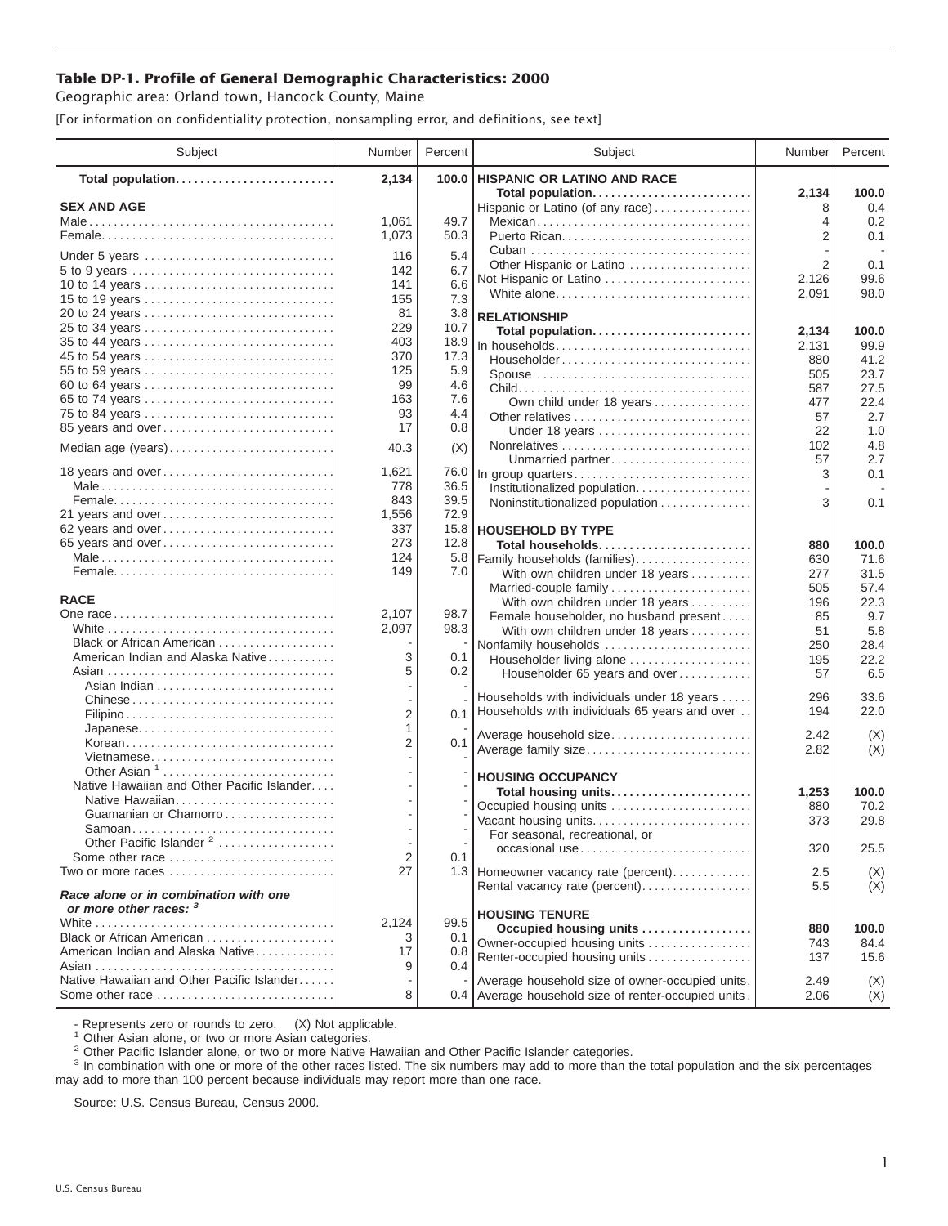## **Table DP-1. Profile of General Demographic Characteristics: 2000**

Geographic area: Orland town, Hancock County, Maine

[For information on confidentiality protection, nonsampling error, and definitions, see text]

| <b>HISPANIC OR LATINO AND RACE</b><br>2,134<br>100.0<br>Total population<br>Total population<br>2,134<br>100.0<br><b>SEX AND AGE</b><br>0.4<br>Hispanic or Latino (of any race)<br>8<br>1,061<br>49.7<br>0.2<br>Mexican<br>4<br>2<br>0.1<br>1,073<br>50.3<br>5.4<br>116<br>Under 5 years<br>2<br>0.1<br>Other Hispanic or Latino<br>142<br>6.7<br>99.6<br>2,126<br>Not Hispanic or Latino<br>141<br>6.6<br>10 to 14 years<br>White alone<br>2,091<br>98.0<br>7.3<br>155<br>15 to 19 years<br>20 to 24 years<br>81<br>3.8<br><b>RELATIONSHIP</b><br>229<br>25 to 34 years<br>10.7<br>Total population<br>2,134<br>100.0<br>403<br>18.9<br>35 to 44 years<br>In households<br>99.9<br>2,131<br>370<br>17.3<br>45 to 54 years<br>41.2<br>Householder<br>880<br>125<br>5.9<br>55 to 59 years<br>23.7<br>Spouse<br>505<br>99<br>4.6<br>60 to 64 years<br>27.5<br>587<br>163<br>7.6<br>65 to 74 years<br>Own child under 18 years<br>22.4<br>477<br>93<br>4.4<br>75 to 84 years<br>2.7<br>Other relatives<br>57<br>17<br>0.8<br>85 years and over<br>1.0<br>Under 18 years<br>22<br>4.8<br>102<br>(X)<br>Median age (years)<br>40.3<br>2.7<br>Unmarried partner<br>57<br>18 years and over<br>1,621<br>76.0<br>0.1<br>In group quarters<br>3<br>778<br>36.5<br>Institutionalized population<br>39.5<br>843<br>0.1<br>Noninstitutionalized population<br>3<br>72.9<br>21 years and over<br>1,556<br>337<br>15.8<br>62 years and over<br><b>HOUSEHOLD BY TYPE</b><br>65 years and over<br>273<br>12.8<br>Total households<br>880<br>100.0<br>124<br>5.8<br>Family households (families)<br>71.6<br>630<br>149<br>7.0<br>31.5<br>With own children under 18 years<br>277<br>57.4<br>Married-couple family<br>505<br><b>RACE</b><br>22.3<br>With own children under 18 years<br>196<br>2,107<br>98.7<br>Female householder, no husband present<br>85<br>9.7<br>98.3<br>2,097<br>5.8<br>With own children under 18 years<br>51<br>Black or African American<br>Nonfamily households<br>28.4<br>250<br>American Indian and Alaska Native<br>3<br>0.1<br>22.2<br>Householder living alone<br>195<br>5<br>0.2<br>6.5<br>Householder 65 years and over<br>57<br>Households with individuals under 18 years<br>296<br>33.6<br>Chinese<br>Households with individuals 65 years and over<br>22.0<br>194<br>2<br>0.1<br>Japanese<br>1<br>Average household size<br>2.42<br>(X)<br>2<br>0.1<br>Korean<br>(X)<br>Average family size<br>2.82<br>Vietnamese<br>Other Asian <sup>1</sup><br><b>HOUSING OCCUPANCY</b><br>Native Hawaiian and Other Pacific Islander<br>Total housing units<br>1,253<br>100.0<br>Native Hawaiian<br>Occupied housing units<br>70.2<br>880<br>Guamanian or Chamorro<br>29.8<br>Vacant housing units<br>373<br>For seasonal, recreational, or<br>Other Pacific Islander <sup>2</sup><br>$\overline{\phantom{a}}$<br>320<br>occasional use<br>25.5<br>2<br>Some other race<br>0.1<br>27<br>Two or more races<br>1.3 Homeowner vacancy rate (percent)<br>2.5<br>(X)<br>(X)<br>Rental vacancy rate (percent)<br>5.5<br>Race alone or in combination with one<br>or more other races: 3<br><b>HOUSING TENURE</b><br>99.5<br>2,124<br>Occupied housing units<br>880<br>100.0<br>Black or African American<br>0.1<br>3<br>Owner-occupied housing units<br>743<br>84.4<br>American Indian and Alaska Native<br>0.8<br>17<br>Renter-occupied housing units<br>137<br>15.6<br>9<br>0.4<br>Native Hawaiian and Other Pacific Islander<br>Average household size of owner-occupied units.<br>2.49<br>(X)<br>Some other race<br>8<br>0.4 Average household size of renter-occupied units.<br>2.06<br>(X) | Subject | Number | Percent | Subject | Number | Percent |
|---------------------------------------------------------------------------------------------------------------------------------------------------------------------------------------------------------------------------------------------------------------------------------------------------------------------------------------------------------------------------------------------------------------------------------------------------------------------------------------------------------------------------------------------------------------------------------------------------------------------------------------------------------------------------------------------------------------------------------------------------------------------------------------------------------------------------------------------------------------------------------------------------------------------------------------------------------------------------------------------------------------------------------------------------------------------------------------------------------------------------------------------------------------------------------------------------------------------------------------------------------------------------------------------------------------------------------------------------------------------------------------------------------------------------------------------------------------------------------------------------------------------------------------------------------------------------------------------------------------------------------------------------------------------------------------------------------------------------------------------------------------------------------------------------------------------------------------------------------------------------------------------------------------------------------------------------------------------------------------------------------------------------------------------------------------------------------------------------------------------------------------------------------------------------------------------------------------------------------------------------------------------------------------------------------------------------------------------------------------------------------------------------------------------------------------------------------------------------------------------------------------------------------------------------------------------------------------------------------------------------------------------------------------------------------------------------------------------------------------------------------------------------------------------------------------------------------------------------------------------------------------------------------------------------------------------------------------------------------------------------------------------------------------------------------------------------------------------------------------------------------------------------------------------------------------------------------------------------------------------------------------------------------------------------------------------------------------------------------------------------------------------------------------------------------------------------------------------------------------------------------------------------------------------------------------------------------------------------|---------|--------|---------|---------|--------|---------|
|                                                                                                                                                                                                                                                                                                                                                                                                                                                                                                                                                                                                                                                                                                                                                                                                                                                                                                                                                                                                                                                                                                                                                                                                                                                                                                                                                                                                                                                                                                                                                                                                                                                                                                                                                                                                                                                                                                                                                                                                                                                                                                                                                                                                                                                                                                                                                                                                                                                                                                                                                                                                                                                                                                                                                                                                                                                                                                                                                                                                                                                                                                                                                                                                                                                                                                                                                                                                                                                                                                                                                                                                   |         |        |         |         |        |         |
|                                                                                                                                                                                                                                                                                                                                                                                                                                                                                                                                                                                                                                                                                                                                                                                                                                                                                                                                                                                                                                                                                                                                                                                                                                                                                                                                                                                                                                                                                                                                                                                                                                                                                                                                                                                                                                                                                                                                                                                                                                                                                                                                                                                                                                                                                                                                                                                                                                                                                                                                                                                                                                                                                                                                                                                                                                                                                                                                                                                                                                                                                                                                                                                                                                                                                                                                                                                                                                                                                                                                                                                                   |         |        |         |         |        |         |
|                                                                                                                                                                                                                                                                                                                                                                                                                                                                                                                                                                                                                                                                                                                                                                                                                                                                                                                                                                                                                                                                                                                                                                                                                                                                                                                                                                                                                                                                                                                                                                                                                                                                                                                                                                                                                                                                                                                                                                                                                                                                                                                                                                                                                                                                                                                                                                                                                                                                                                                                                                                                                                                                                                                                                                                                                                                                                                                                                                                                                                                                                                                                                                                                                                                                                                                                                                                                                                                                                                                                                                                                   |         |        |         |         |        |         |
|                                                                                                                                                                                                                                                                                                                                                                                                                                                                                                                                                                                                                                                                                                                                                                                                                                                                                                                                                                                                                                                                                                                                                                                                                                                                                                                                                                                                                                                                                                                                                                                                                                                                                                                                                                                                                                                                                                                                                                                                                                                                                                                                                                                                                                                                                                                                                                                                                                                                                                                                                                                                                                                                                                                                                                                                                                                                                                                                                                                                                                                                                                                                                                                                                                                                                                                                                                                                                                                                                                                                                                                                   |         |        |         |         |        |         |
|                                                                                                                                                                                                                                                                                                                                                                                                                                                                                                                                                                                                                                                                                                                                                                                                                                                                                                                                                                                                                                                                                                                                                                                                                                                                                                                                                                                                                                                                                                                                                                                                                                                                                                                                                                                                                                                                                                                                                                                                                                                                                                                                                                                                                                                                                                                                                                                                                                                                                                                                                                                                                                                                                                                                                                                                                                                                                                                                                                                                                                                                                                                                                                                                                                                                                                                                                                                                                                                                                                                                                                                                   |         |        |         |         |        |         |
|                                                                                                                                                                                                                                                                                                                                                                                                                                                                                                                                                                                                                                                                                                                                                                                                                                                                                                                                                                                                                                                                                                                                                                                                                                                                                                                                                                                                                                                                                                                                                                                                                                                                                                                                                                                                                                                                                                                                                                                                                                                                                                                                                                                                                                                                                                                                                                                                                                                                                                                                                                                                                                                                                                                                                                                                                                                                                                                                                                                                                                                                                                                                                                                                                                                                                                                                                                                                                                                                                                                                                                                                   |         |        |         |         |        |         |
|                                                                                                                                                                                                                                                                                                                                                                                                                                                                                                                                                                                                                                                                                                                                                                                                                                                                                                                                                                                                                                                                                                                                                                                                                                                                                                                                                                                                                                                                                                                                                                                                                                                                                                                                                                                                                                                                                                                                                                                                                                                                                                                                                                                                                                                                                                                                                                                                                                                                                                                                                                                                                                                                                                                                                                                                                                                                                                                                                                                                                                                                                                                                                                                                                                                                                                                                                                                                                                                                                                                                                                                                   |         |        |         |         |        |         |
|                                                                                                                                                                                                                                                                                                                                                                                                                                                                                                                                                                                                                                                                                                                                                                                                                                                                                                                                                                                                                                                                                                                                                                                                                                                                                                                                                                                                                                                                                                                                                                                                                                                                                                                                                                                                                                                                                                                                                                                                                                                                                                                                                                                                                                                                                                                                                                                                                                                                                                                                                                                                                                                                                                                                                                                                                                                                                                                                                                                                                                                                                                                                                                                                                                                                                                                                                                                                                                                                                                                                                                                                   |         |        |         |         |        |         |
|                                                                                                                                                                                                                                                                                                                                                                                                                                                                                                                                                                                                                                                                                                                                                                                                                                                                                                                                                                                                                                                                                                                                                                                                                                                                                                                                                                                                                                                                                                                                                                                                                                                                                                                                                                                                                                                                                                                                                                                                                                                                                                                                                                                                                                                                                                                                                                                                                                                                                                                                                                                                                                                                                                                                                                                                                                                                                                                                                                                                                                                                                                                                                                                                                                                                                                                                                                                                                                                                                                                                                                                                   |         |        |         |         |        |         |
|                                                                                                                                                                                                                                                                                                                                                                                                                                                                                                                                                                                                                                                                                                                                                                                                                                                                                                                                                                                                                                                                                                                                                                                                                                                                                                                                                                                                                                                                                                                                                                                                                                                                                                                                                                                                                                                                                                                                                                                                                                                                                                                                                                                                                                                                                                                                                                                                                                                                                                                                                                                                                                                                                                                                                                                                                                                                                                                                                                                                                                                                                                                                                                                                                                                                                                                                                                                                                                                                                                                                                                                                   |         |        |         |         |        |         |
|                                                                                                                                                                                                                                                                                                                                                                                                                                                                                                                                                                                                                                                                                                                                                                                                                                                                                                                                                                                                                                                                                                                                                                                                                                                                                                                                                                                                                                                                                                                                                                                                                                                                                                                                                                                                                                                                                                                                                                                                                                                                                                                                                                                                                                                                                                                                                                                                                                                                                                                                                                                                                                                                                                                                                                                                                                                                                                                                                                                                                                                                                                                                                                                                                                                                                                                                                                                                                                                                                                                                                                                                   |         |        |         |         |        |         |
|                                                                                                                                                                                                                                                                                                                                                                                                                                                                                                                                                                                                                                                                                                                                                                                                                                                                                                                                                                                                                                                                                                                                                                                                                                                                                                                                                                                                                                                                                                                                                                                                                                                                                                                                                                                                                                                                                                                                                                                                                                                                                                                                                                                                                                                                                                                                                                                                                                                                                                                                                                                                                                                                                                                                                                                                                                                                                                                                                                                                                                                                                                                                                                                                                                                                                                                                                                                                                                                                                                                                                                                                   |         |        |         |         |        |         |
|                                                                                                                                                                                                                                                                                                                                                                                                                                                                                                                                                                                                                                                                                                                                                                                                                                                                                                                                                                                                                                                                                                                                                                                                                                                                                                                                                                                                                                                                                                                                                                                                                                                                                                                                                                                                                                                                                                                                                                                                                                                                                                                                                                                                                                                                                                                                                                                                                                                                                                                                                                                                                                                                                                                                                                                                                                                                                                                                                                                                                                                                                                                                                                                                                                                                                                                                                                                                                                                                                                                                                                                                   |         |        |         |         |        |         |
|                                                                                                                                                                                                                                                                                                                                                                                                                                                                                                                                                                                                                                                                                                                                                                                                                                                                                                                                                                                                                                                                                                                                                                                                                                                                                                                                                                                                                                                                                                                                                                                                                                                                                                                                                                                                                                                                                                                                                                                                                                                                                                                                                                                                                                                                                                                                                                                                                                                                                                                                                                                                                                                                                                                                                                                                                                                                                                                                                                                                                                                                                                                                                                                                                                                                                                                                                                                                                                                                                                                                                                                                   |         |        |         |         |        |         |
|                                                                                                                                                                                                                                                                                                                                                                                                                                                                                                                                                                                                                                                                                                                                                                                                                                                                                                                                                                                                                                                                                                                                                                                                                                                                                                                                                                                                                                                                                                                                                                                                                                                                                                                                                                                                                                                                                                                                                                                                                                                                                                                                                                                                                                                                                                                                                                                                                                                                                                                                                                                                                                                                                                                                                                                                                                                                                                                                                                                                                                                                                                                                                                                                                                                                                                                                                                                                                                                                                                                                                                                                   |         |        |         |         |        |         |
|                                                                                                                                                                                                                                                                                                                                                                                                                                                                                                                                                                                                                                                                                                                                                                                                                                                                                                                                                                                                                                                                                                                                                                                                                                                                                                                                                                                                                                                                                                                                                                                                                                                                                                                                                                                                                                                                                                                                                                                                                                                                                                                                                                                                                                                                                                                                                                                                                                                                                                                                                                                                                                                                                                                                                                                                                                                                                                                                                                                                                                                                                                                                                                                                                                                                                                                                                                                                                                                                                                                                                                                                   |         |        |         |         |        |         |
|                                                                                                                                                                                                                                                                                                                                                                                                                                                                                                                                                                                                                                                                                                                                                                                                                                                                                                                                                                                                                                                                                                                                                                                                                                                                                                                                                                                                                                                                                                                                                                                                                                                                                                                                                                                                                                                                                                                                                                                                                                                                                                                                                                                                                                                                                                                                                                                                                                                                                                                                                                                                                                                                                                                                                                                                                                                                                                                                                                                                                                                                                                                                                                                                                                                                                                                                                                                                                                                                                                                                                                                                   |         |        |         |         |        |         |
|                                                                                                                                                                                                                                                                                                                                                                                                                                                                                                                                                                                                                                                                                                                                                                                                                                                                                                                                                                                                                                                                                                                                                                                                                                                                                                                                                                                                                                                                                                                                                                                                                                                                                                                                                                                                                                                                                                                                                                                                                                                                                                                                                                                                                                                                                                                                                                                                                                                                                                                                                                                                                                                                                                                                                                                                                                                                                                                                                                                                                                                                                                                                                                                                                                                                                                                                                                                                                                                                                                                                                                                                   |         |        |         |         |        |         |
|                                                                                                                                                                                                                                                                                                                                                                                                                                                                                                                                                                                                                                                                                                                                                                                                                                                                                                                                                                                                                                                                                                                                                                                                                                                                                                                                                                                                                                                                                                                                                                                                                                                                                                                                                                                                                                                                                                                                                                                                                                                                                                                                                                                                                                                                                                                                                                                                                                                                                                                                                                                                                                                                                                                                                                                                                                                                                                                                                                                                                                                                                                                                                                                                                                                                                                                                                                                                                                                                                                                                                                                                   |         |        |         |         |        |         |
|                                                                                                                                                                                                                                                                                                                                                                                                                                                                                                                                                                                                                                                                                                                                                                                                                                                                                                                                                                                                                                                                                                                                                                                                                                                                                                                                                                                                                                                                                                                                                                                                                                                                                                                                                                                                                                                                                                                                                                                                                                                                                                                                                                                                                                                                                                                                                                                                                                                                                                                                                                                                                                                                                                                                                                                                                                                                                                                                                                                                                                                                                                                                                                                                                                                                                                                                                                                                                                                                                                                                                                                                   |         |        |         |         |        |         |
|                                                                                                                                                                                                                                                                                                                                                                                                                                                                                                                                                                                                                                                                                                                                                                                                                                                                                                                                                                                                                                                                                                                                                                                                                                                                                                                                                                                                                                                                                                                                                                                                                                                                                                                                                                                                                                                                                                                                                                                                                                                                                                                                                                                                                                                                                                                                                                                                                                                                                                                                                                                                                                                                                                                                                                                                                                                                                                                                                                                                                                                                                                                                                                                                                                                                                                                                                                                                                                                                                                                                                                                                   |         |        |         |         |        |         |
|                                                                                                                                                                                                                                                                                                                                                                                                                                                                                                                                                                                                                                                                                                                                                                                                                                                                                                                                                                                                                                                                                                                                                                                                                                                                                                                                                                                                                                                                                                                                                                                                                                                                                                                                                                                                                                                                                                                                                                                                                                                                                                                                                                                                                                                                                                                                                                                                                                                                                                                                                                                                                                                                                                                                                                                                                                                                                                                                                                                                                                                                                                                                                                                                                                                                                                                                                                                                                                                                                                                                                                                                   |         |        |         |         |        |         |
|                                                                                                                                                                                                                                                                                                                                                                                                                                                                                                                                                                                                                                                                                                                                                                                                                                                                                                                                                                                                                                                                                                                                                                                                                                                                                                                                                                                                                                                                                                                                                                                                                                                                                                                                                                                                                                                                                                                                                                                                                                                                                                                                                                                                                                                                                                                                                                                                                                                                                                                                                                                                                                                                                                                                                                                                                                                                                                                                                                                                                                                                                                                                                                                                                                                                                                                                                                                                                                                                                                                                                                                                   |         |        |         |         |        |         |
|                                                                                                                                                                                                                                                                                                                                                                                                                                                                                                                                                                                                                                                                                                                                                                                                                                                                                                                                                                                                                                                                                                                                                                                                                                                                                                                                                                                                                                                                                                                                                                                                                                                                                                                                                                                                                                                                                                                                                                                                                                                                                                                                                                                                                                                                                                                                                                                                                                                                                                                                                                                                                                                                                                                                                                                                                                                                                                                                                                                                                                                                                                                                                                                                                                                                                                                                                                                                                                                                                                                                                                                                   |         |        |         |         |        |         |
|                                                                                                                                                                                                                                                                                                                                                                                                                                                                                                                                                                                                                                                                                                                                                                                                                                                                                                                                                                                                                                                                                                                                                                                                                                                                                                                                                                                                                                                                                                                                                                                                                                                                                                                                                                                                                                                                                                                                                                                                                                                                                                                                                                                                                                                                                                                                                                                                                                                                                                                                                                                                                                                                                                                                                                                                                                                                                                                                                                                                                                                                                                                                                                                                                                                                                                                                                                                                                                                                                                                                                                                                   |         |        |         |         |        |         |
|                                                                                                                                                                                                                                                                                                                                                                                                                                                                                                                                                                                                                                                                                                                                                                                                                                                                                                                                                                                                                                                                                                                                                                                                                                                                                                                                                                                                                                                                                                                                                                                                                                                                                                                                                                                                                                                                                                                                                                                                                                                                                                                                                                                                                                                                                                                                                                                                                                                                                                                                                                                                                                                                                                                                                                                                                                                                                                                                                                                                                                                                                                                                                                                                                                                                                                                                                                                                                                                                                                                                                                                                   |         |        |         |         |        |         |
|                                                                                                                                                                                                                                                                                                                                                                                                                                                                                                                                                                                                                                                                                                                                                                                                                                                                                                                                                                                                                                                                                                                                                                                                                                                                                                                                                                                                                                                                                                                                                                                                                                                                                                                                                                                                                                                                                                                                                                                                                                                                                                                                                                                                                                                                                                                                                                                                                                                                                                                                                                                                                                                                                                                                                                                                                                                                                                                                                                                                                                                                                                                                                                                                                                                                                                                                                                                                                                                                                                                                                                                                   |         |        |         |         |        |         |
|                                                                                                                                                                                                                                                                                                                                                                                                                                                                                                                                                                                                                                                                                                                                                                                                                                                                                                                                                                                                                                                                                                                                                                                                                                                                                                                                                                                                                                                                                                                                                                                                                                                                                                                                                                                                                                                                                                                                                                                                                                                                                                                                                                                                                                                                                                                                                                                                                                                                                                                                                                                                                                                                                                                                                                                                                                                                                                                                                                                                                                                                                                                                                                                                                                                                                                                                                                                                                                                                                                                                                                                                   |         |        |         |         |        |         |
|                                                                                                                                                                                                                                                                                                                                                                                                                                                                                                                                                                                                                                                                                                                                                                                                                                                                                                                                                                                                                                                                                                                                                                                                                                                                                                                                                                                                                                                                                                                                                                                                                                                                                                                                                                                                                                                                                                                                                                                                                                                                                                                                                                                                                                                                                                                                                                                                                                                                                                                                                                                                                                                                                                                                                                                                                                                                                                                                                                                                                                                                                                                                                                                                                                                                                                                                                                                                                                                                                                                                                                                                   |         |        |         |         |        |         |
|                                                                                                                                                                                                                                                                                                                                                                                                                                                                                                                                                                                                                                                                                                                                                                                                                                                                                                                                                                                                                                                                                                                                                                                                                                                                                                                                                                                                                                                                                                                                                                                                                                                                                                                                                                                                                                                                                                                                                                                                                                                                                                                                                                                                                                                                                                                                                                                                                                                                                                                                                                                                                                                                                                                                                                                                                                                                                                                                                                                                                                                                                                                                                                                                                                                                                                                                                                                                                                                                                                                                                                                                   |         |        |         |         |        |         |
|                                                                                                                                                                                                                                                                                                                                                                                                                                                                                                                                                                                                                                                                                                                                                                                                                                                                                                                                                                                                                                                                                                                                                                                                                                                                                                                                                                                                                                                                                                                                                                                                                                                                                                                                                                                                                                                                                                                                                                                                                                                                                                                                                                                                                                                                                                                                                                                                                                                                                                                                                                                                                                                                                                                                                                                                                                                                                                                                                                                                                                                                                                                                                                                                                                                                                                                                                                                                                                                                                                                                                                                                   |         |        |         |         |        |         |
|                                                                                                                                                                                                                                                                                                                                                                                                                                                                                                                                                                                                                                                                                                                                                                                                                                                                                                                                                                                                                                                                                                                                                                                                                                                                                                                                                                                                                                                                                                                                                                                                                                                                                                                                                                                                                                                                                                                                                                                                                                                                                                                                                                                                                                                                                                                                                                                                                                                                                                                                                                                                                                                                                                                                                                                                                                                                                                                                                                                                                                                                                                                                                                                                                                                                                                                                                                                                                                                                                                                                                                                                   |         |        |         |         |        |         |
|                                                                                                                                                                                                                                                                                                                                                                                                                                                                                                                                                                                                                                                                                                                                                                                                                                                                                                                                                                                                                                                                                                                                                                                                                                                                                                                                                                                                                                                                                                                                                                                                                                                                                                                                                                                                                                                                                                                                                                                                                                                                                                                                                                                                                                                                                                                                                                                                                                                                                                                                                                                                                                                                                                                                                                                                                                                                                                                                                                                                                                                                                                                                                                                                                                                                                                                                                                                                                                                                                                                                                                                                   |         |        |         |         |        |         |
|                                                                                                                                                                                                                                                                                                                                                                                                                                                                                                                                                                                                                                                                                                                                                                                                                                                                                                                                                                                                                                                                                                                                                                                                                                                                                                                                                                                                                                                                                                                                                                                                                                                                                                                                                                                                                                                                                                                                                                                                                                                                                                                                                                                                                                                                                                                                                                                                                                                                                                                                                                                                                                                                                                                                                                                                                                                                                                                                                                                                                                                                                                                                                                                                                                                                                                                                                                                                                                                                                                                                                                                                   |         |        |         |         |        |         |
|                                                                                                                                                                                                                                                                                                                                                                                                                                                                                                                                                                                                                                                                                                                                                                                                                                                                                                                                                                                                                                                                                                                                                                                                                                                                                                                                                                                                                                                                                                                                                                                                                                                                                                                                                                                                                                                                                                                                                                                                                                                                                                                                                                                                                                                                                                                                                                                                                                                                                                                                                                                                                                                                                                                                                                                                                                                                                                                                                                                                                                                                                                                                                                                                                                                                                                                                                                                                                                                                                                                                                                                                   |         |        |         |         |        |         |
|                                                                                                                                                                                                                                                                                                                                                                                                                                                                                                                                                                                                                                                                                                                                                                                                                                                                                                                                                                                                                                                                                                                                                                                                                                                                                                                                                                                                                                                                                                                                                                                                                                                                                                                                                                                                                                                                                                                                                                                                                                                                                                                                                                                                                                                                                                                                                                                                                                                                                                                                                                                                                                                                                                                                                                                                                                                                                                                                                                                                                                                                                                                                                                                                                                                                                                                                                                                                                                                                                                                                                                                                   |         |        |         |         |        |         |
|                                                                                                                                                                                                                                                                                                                                                                                                                                                                                                                                                                                                                                                                                                                                                                                                                                                                                                                                                                                                                                                                                                                                                                                                                                                                                                                                                                                                                                                                                                                                                                                                                                                                                                                                                                                                                                                                                                                                                                                                                                                                                                                                                                                                                                                                                                                                                                                                                                                                                                                                                                                                                                                                                                                                                                                                                                                                                                                                                                                                                                                                                                                                                                                                                                                                                                                                                                                                                                                                                                                                                                                                   |         |        |         |         |        |         |
|                                                                                                                                                                                                                                                                                                                                                                                                                                                                                                                                                                                                                                                                                                                                                                                                                                                                                                                                                                                                                                                                                                                                                                                                                                                                                                                                                                                                                                                                                                                                                                                                                                                                                                                                                                                                                                                                                                                                                                                                                                                                                                                                                                                                                                                                                                                                                                                                                                                                                                                                                                                                                                                                                                                                                                                                                                                                                                                                                                                                                                                                                                                                                                                                                                                                                                                                                                                                                                                                                                                                                                                                   |         |        |         |         |        |         |
|                                                                                                                                                                                                                                                                                                                                                                                                                                                                                                                                                                                                                                                                                                                                                                                                                                                                                                                                                                                                                                                                                                                                                                                                                                                                                                                                                                                                                                                                                                                                                                                                                                                                                                                                                                                                                                                                                                                                                                                                                                                                                                                                                                                                                                                                                                                                                                                                                                                                                                                                                                                                                                                                                                                                                                                                                                                                                                                                                                                                                                                                                                                                                                                                                                                                                                                                                                                                                                                                                                                                                                                                   |         |        |         |         |        |         |
|                                                                                                                                                                                                                                                                                                                                                                                                                                                                                                                                                                                                                                                                                                                                                                                                                                                                                                                                                                                                                                                                                                                                                                                                                                                                                                                                                                                                                                                                                                                                                                                                                                                                                                                                                                                                                                                                                                                                                                                                                                                                                                                                                                                                                                                                                                                                                                                                                                                                                                                                                                                                                                                                                                                                                                                                                                                                                                                                                                                                                                                                                                                                                                                                                                                                                                                                                                                                                                                                                                                                                                                                   |         |        |         |         |        |         |
|                                                                                                                                                                                                                                                                                                                                                                                                                                                                                                                                                                                                                                                                                                                                                                                                                                                                                                                                                                                                                                                                                                                                                                                                                                                                                                                                                                                                                                                                                                                                                                                                                                                                                                                                                                                                                                                                                                                                                                                                                                                                                                                                                                                                                                                                                                                                                                                                                                                                                                                                                                                                                                                                                                                                                                                                                                                                                                                                                                                                                                                                                                                                                                                                                                                                                                                                                                                                                                                                                                                                                                                                   |         |        |         |         |        |         |
|                                                                                                                                                                                                                                                                                                                                                                                                                                                                                                                                                                                                                                                                                                                                                                                                                                                                                                                                                                                                                                                                                                                                                                                                                                                                                                                                                                                                                                                                                                                                                                                                                                                                                                                                                                                                                                                                                                                                                                                                                                                                                                                                                                                                                                                                                                                                                                                                                                                                                                                                                                                                                                                                                                                                                                                                                                                                                                                                                                                                                                                                                                                                                                                                                                                                                                                                                                                                                                                                                                                                                                                                   |         |        |         |         |        |         |
|                                                                                                                                                                                                                                                                                                                                                                                                                                                                                                                                                                                                                                                                                                                                                                                                                                                                                                                                                                                                                                                                                                                                                                                                                                                                                                                                                                                                                                                                                                                                                                                                                                                                                                                                                                                                                                                                                                                                                                                                                                                                                                                                                                                                                                                                                                                                                                                                                                                                                                                                                                                                                                                                                                                                                                                                                                                                                                                                                                                                                                                                                                                                                                                                                                                                                                                                                                                                                                                                                                                                                                                                   |         |        |         |         |        |         |
|                                                                                                                                                                                                                                                                                                                                                                                                                                                                                                                                                                                                                                                                                                                                                                                                                                                                                                                                                                                                                                                                                                                                                                                                                                                                                                                                                                                                                                                                                                                                                                                                                                                                                                                                                                                                                                                                                                                                                                                                                                                                                                                                                                                                                                                                                                                                                                                                                                                                                                                                                                                                                                                                                                                                                                                                                                                                                                                                                                                                                                                                                                                                                                                                                                                                                                                                                                                                                                                                                                                                                                                                   |         |        |         |         |        |         |
|                                                                                                                                                                                                                                                                                                                                                                                                                                                                                                                                                                                                                                                                                                                                                                                                                                                                                                                                                                                                                                                                                                                                                                                                                                                                                                                                                                                                                                                                                                                                                                                                                                                                                                                                                                                                                                                                                                                                                                                                                                                                                                                                                                                                                                                                                                                                                                                                                                                                                                                                                                                                                                                                                                                                                                                                                                                                                                                                                                                                                                                                                                                                                                                                                                                                                                                                                                                                                                                                                                                                                                                                   |         |        |         |         |        |         |
|                                                                                                                                                                                                                                                                                                                                                                                                                                                                                                                                                                                                                                                                                                                                                                                                                                                                                                                                                                                                                                                                                                                                                                                                                                                                                                                                                                                                                                                                                                                                                                                                                                                                                                                                                                                                                                                                                                                                                                                                                                                                                                                                                                                                                                                                                                                                                                                                                                                                                                                                                                                                                                                                                                                                                                                                                                                                                                                                                                                                                                                                                                                                                                                                                                                                                                                                                                                                                                                                                                                                                                                                   |         |        |         |         |        |         |
|                                                                                                                                                                                                                                                                                                                                                                                                                                                                                                                                                                                                                                                                                                                                                                                                                                                                                                                                                                                                                                                                                                                                                                                                                                                                                                                                                                                                                                                                                                                                                                                                                                                                                                                                                                                                                                                                                                                                                                                                                                                                                                                                                                                                                                                                                                                                                                                                                                                                                                                                                                                                                                                                                                                                                                                                                                                                                                                                                                                                                                                                                                                                                                                                                                                                                                                                                                                                                                                                                                                                                                                                   |         |        |         |         |        |         |
|                                                                                                                                                                                                                                                                                                                                                                                                                                                                                                                                                                                                                                                                                                                                                                                                                                                                                                                                                                                                                                                                                                                                                                                                                                                                                                                                                                                                                                                                                                                                                                                                                                                                                                                                                                                                                                                                                                                                                                                                                                                                                                                                                                                                                                                                                                                                                                                                                                                                                                                                                                                                                                                                                                                                                                                                                                                                                                                                                                                                                                                                                                                                                                                                                                                                                                                                                                                                                                                                                                                                                                                                   |         |        |         |         |        |         |
|                                                                                                                                                                                                                                                                                                                                                                                                                                                                                                                                                                                                                                                                                                                                                                                                                                                                                                                                                                                                                                                                                                                                                                                                                                                                                                                                                                                                                                                                                                                                                                                                                                                                                                                                                                                                                                                                                                                                                                                                                                                                                                                                                                                                                                                                                                                                                                                                                                                                                                                                                                                                                                                                                                                                                                                                                                                                                                                                                                                                                                                                                                                                                                                                                                                                                                                                                                                                                                                                                                                                                                                                   |         |        |         |         |        |         |
|                                                                                                                                                                                                                                                                                                                                                                                                                                                                                                                                                                                                                                                                                                                                                                                                                                                                                                                                                                                                                                                                                                                                                                                                                                                                                                                                                                                                                                                                                                                                                                                                                                                                                                                                                                                                                                                                                                                                                                                                                                                                                                                                                                                                                                                                                                                                                                                                                                                                                                                                                                                                                                                                                                                                                                                                                                                                                                                                                                                                                                                                                                                                                                                                                                                                                                                                                                                                                                                                                                                                                                                                   |         |        |         |         |        |         |
|                                                                                                                                                                                                                                                                                                                                                                                                                                                                                                                                                                                                                                                                                                                                                                                                                                                                                                                                                                                                                                                                                                                                                                                                                                                                                                                                                                                                                                                                                                                                                                                                                                                                                                                                                                                                                                                                                                                                                                                                                                                                                                                                                                                                                                                                                                                                                                                                                                                                                                                                                                                                                                                                                                                                                                                                                                                                                                                                                                                                                                                                                                                                                                                                                                                                                                                                                                                                                                                                                                                                                                                                   |         |        |         |         |        |         |
|                                                                                                                                                                                                                                                                                                                                                                                                                                                                                                                                                                                                                                                                                                                                                                                                                                                                                                                                                                                                                                                                                                                                                                                                                                                                                                                                                                                                                                                                                                                                                                                                                                                                                                                                                                                                                                                                                                                                                                                                                                                                                                                                                                                                                                                                                                                                                                                                                                                                                                                                                                                                                                                                                                                                                                                                                                                                                                                                                                                                                                                                                                                                                                                                                                                                                                                                                                                                                                                                                                                                                                                                   |         |        |         |         |        |         |
|                                                                                                                                                                                                                                                                                                                                                                                                                                                                                                                                                                                                                                                                                                                                                                                                                                                                                                                                                                                                                                                                                                                                                                                                                                                                                                                                                                                                                                                                                                                                                                                                                                                                                                                                                                                                                                                                                                                                                                                                                                                                                                                                                                                                                                                                                                                                                                                                                                                                                                                                                                                                                                                                                                                                                                                                                                                                                                                                                                                                                                                                                                                                                                                                                                                                                                                                                                                                                                                                                                                                                                                                   |         |        |         |         |        |         |
|                                                                                                                                                                                                                                                                                                                                                                                                                                                                                                                                                                                                                                                                                                                                                                                                                                                                                                                                                                                                                                                                                                                                                                                                                                                                                                                                                                                                                                                                                                                                                                                                                                                                                                                                                                                                                                                                                                                                                                                                                                                                                                                                                                                                                                                                                                                                                                                                                                                                                                                                                                                                                                                                                                                                                                                                                                                                                                                                                                                                                                                                                                                                                                                                                                                                                                                                                                                                                                                                                                                                                                                                   |         |        |         |         |        |         |

- Represents zero or rounds to zero. (X) Not applicable.<br><sup>1</sup> Other Asian alone, or two or more Asian categories.

<sup>2</sup> Other Pacific Islander alone, or two or more Native Hawaiian and Other Pacific Islander categories.<br><sup>3</sup> In combination with one or more of the other races listed. The six numbers may add to more than the total populati may add to more than 100 percent because individuals may report more than one race.

Source: U.S. Census Bureau, Census 2000.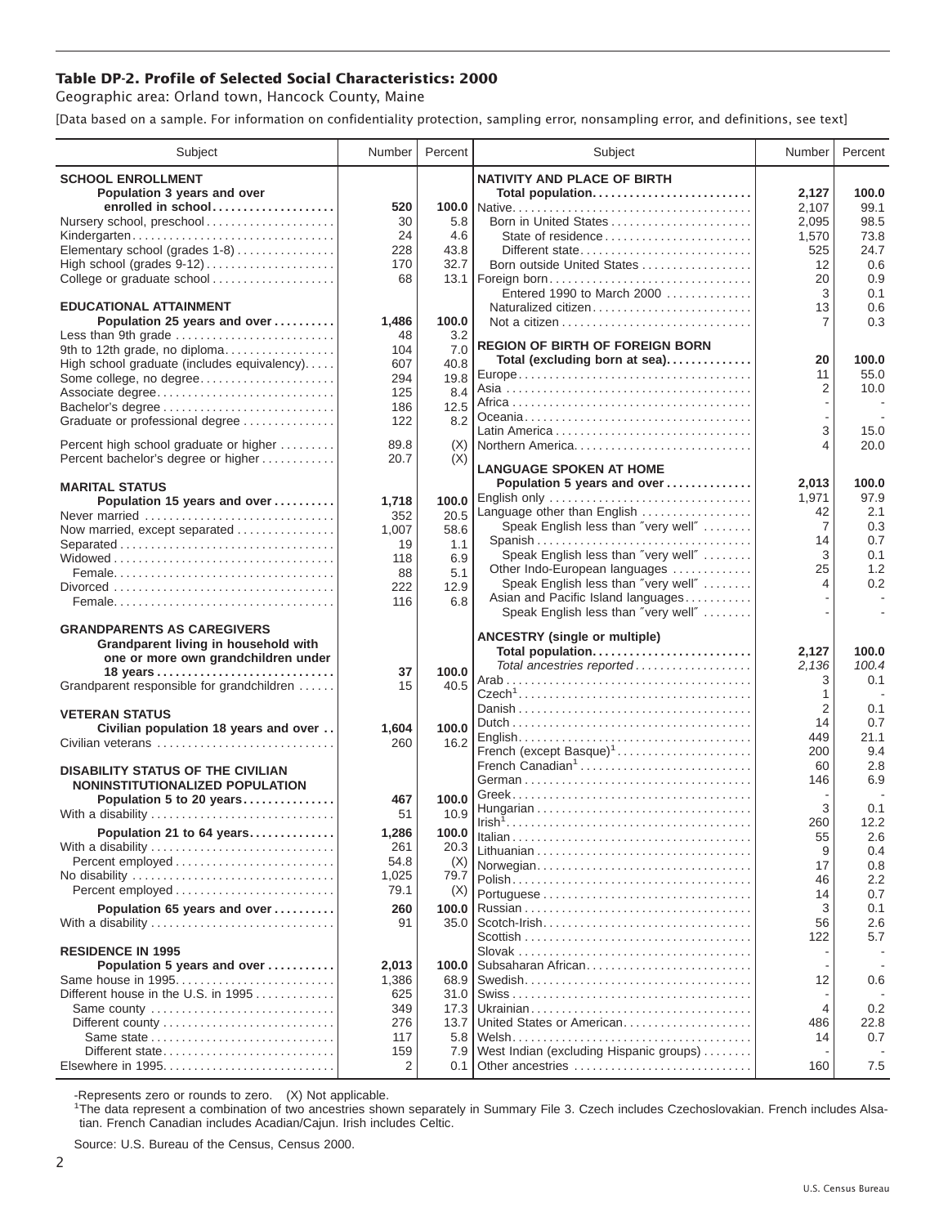## **Table DP-2. Profile of Selected Social Characteristics: 2000**

Geographic area: Orland town, Hancock County, Maine

[Data based on a sample. For information on confidentiality protection, sampling error, nonsampling error, and definitions, see text]

| Subject                                                                       | Number       | Percent    | Subject                                                                   | Number               | Percent    |
|-------------------------------------------------------------------------------|--------------|------------|---------------------------------------------------------------------------|----------------------|------------|
| <b>SCHOOL ENROLLMENT</b>                                                      |              |            | <b>NATIVITY AND PLACE OF BIRTH</b>                                        |                      |            |
| Population 3 years and over                                                   |              |            | Total population                                                          | 2,127                | 100.0      |
| enrolled in school                                                            | 520          |            |                                                                           | 2,107                | 99.1       |
| Nursery school, preschool                                                     | 30           | 5.8        | Born in United States                                                     | 2,095                | 98.5       |
| Kindergarten                                                                  | 24           | 4.6        | State of residence                                                        | 1,570                | 73.8       |
| Elementary school (grades 1-8)                                                | 228          | 43.8       | Different state                                                           | 525                  | 24.7       |
| High school (grades 9-12)                                                     | 170          | 32.7       | Born outside United States                                                | 12                   | 0.6        |
| College or graduate school                                                    | 68           |            |                                                                           | 20                   | 0.9        |
| <b>EDUCATIONAL ATTAINMENT</b>                                                 |              |            | Entered 1990 to March 2000                                                | 3                    | 0.1        |
| Population 25 years and over                                                  |              | 100.0      | Naturalized citizen                                                       | 13<br>$\overline{7}$ | 0.6<br>0.3 |
| Less than 9th grade                                                           | 1,486<br>48  | 3.2        |                                                                           |                      |            |
| 9th to 12th grade, no diploma                                                 | 104          | 7.0        | <b>REGION OF BIRTH OF FOREIGN BORN</b>                                    |                      |            |
| High school graduate (includes equivalency)                                   | 607          | 40.8       | Total (excluding born at sea)                                             | 20                   | 100.0      |
| Some college, no degree                                                       | 294          | 19.8       |                                                                           | 11                   | 55.0       |
| Associate degree                                                              | 125          | 8.4        |                                                                           | 2                    | 10.0       |
| Bachelor's degree                                                             | 186          | 12.5       |                                                                           |                      |            |
| Graduate or professional degree                                               | 122          | 8.2        |                                                                           |                      |            |
|                                                                               |              |            |                                                                           | 3                    | 15.0       |
| Percent high school graduate or higher<br>Percent bachelor's degree or higher | 89.8<br>20.7 | (X)<br>(X) | Northern America                                                          | 4                    | 20.0       |
|                                                                               |              |            | <b>LANGUAGE SPOKEN AT HOME</b>                                            |                      |            |
| <b>MARITAL STATUS</b>                                                         |              |            | Population 5 years and over                                               | 2,013                | 100.0      |
| Population 15 years and over                                                  | 1,718        | 100.0      | English only                                                              | 1,971                | 97.9       |
| Never married                                                                 | 352          | 20.5       | Language other than English                                               | 42                   | 2.1        |
| Now married, except separated                                                 | 1,007        | 58.6       | Speak English less than "very well"                                       | $\overline{7}$       | 0.3        |
| Separated                                                                     | 19           | 1.1        | Spanish                                                                   | 14                   | 0.7        |
|                                                                               | 118          | 6.9        | Speak English less than "very well"                                       | 3                    | 0.1        |
|                                                                               | 88           | 5.1        | Other Indo-European languages                                             | 25<br>4              | 1.2<br>0.2 |
|                                                                               | 222          | 12.9       | Speak English less than "very well"<br>Asian and Pacific Island languages |                      | $\sim$     |
|                                                                               | 116          | 6.8        | Speak English less than "very well"                                       |                      |            |
| <b>GRANDPARENTS AS CAREGIVERS</b>                                             |              |            |                                                                           |                      |            |
| Grandparent living in household with                                          |              |            | <b>ANCESTRY (single or multiple)</b>                                      |                      |            |
| one or more own grandchildren under                                           |              |            | Total population                                                          | 2,127                | 100.0      |
| 18 years                                                                      | 37           | 100.0      | Total ancestries reported                                                 | 2,136                | 100.4      |
| Grandparent responsible for grandchildren                                     | 15           | 40.5       |                                                                           | 3                    | 0.1        |
|                                                                               |              |            |                                                                           | 1<br>$\overline{2}$  | 0.1        |
| <b>VETERAN STATUS</b>                                                         |              |            |                                                                           | 14                   | 0.7        |
| Civilian population 18 years and over                                         | 1,604        | 100.0      |                                                                           | 449                  | 21.1       |
| Civilian veterans                                                             | 260          | 16.2       | French (except Basque) <sup>1</sup>                                       | 200                  | 9.4        |
| <b>DISABILITY STATUS OF THE CIVILIAN</b>                                      |              |            | French Canadian <sup>1</sup>                                              | 60                   | 2.8        |
| NONINSTITUTIONALIZED POPULATION                                               |              |            |                                                                           | 146                  | 6.9        |
| Population 5 to 20 years                                                      | 467          | 100.0      |                                                                           |                      |            |
| With a disability                                                             | 51           | 10.9       |                                                                           | 3                    | 0.1        |
| Population 21 to 64 years                                                     | 1,286        | 100.0      |                                                                           | 260                  | 12.2       |
| With a disability                                                             | 261          | 20.3       |                                                                           | 55                   | 2.6        |
|                                                                               | 54.8         | (X)        |                                                                           | 9                    | 0.4        |
| No disability                                                                 | 1,025        | 79.7       | Norwegian                                                                 | 17<br>46             | 0.8<br>2.2 |
| Percent employed                                                              | 79.1         | (X)        |                                                                           | 14                   | 0.7        |
| Population 65 years and over                                                  | 260          | 100.0      |                                                                           | 3                    | 0.1        |
| With a disability                                                             | 91           | 35.0       |                                                                           | 56                   | 2.6        |
|                                                                               |              |            |                                                                           | 122                  | 5.7        |
| <b>RESIDENCE IN 1995</b>                                                      |              |            |                                                                           |                      |            |
| Population 5 years and over                                                   | 2,013        | 100.0      | Subsaharan African                                                        |                      |            |
| Same house in 1995                                                            | 1,386        | 68.9       |                                                                           | 12                   | 0.6        |
| Different house in the U.S. in 1995                                           | 625          | 31.0       |                                                                           |                      |            |
| Same county                                                                   | 349          | 17.3       |                                                                           | $\overline{4}$       | 0.2        |
|                                                                               | 276          | 13.7       | United States or American                                                 | 486                  | 22.8       |
|                                                                               | 117          | 5.8        |                                                                           | 14                   | 0.7        |
| Different state<br>Elsewhere in 1995                                          | 159<br>2     | 7.9<br>0.1 | West Indian (excluding Hispanic groups)                                   | 160                  | 7.5        |
|                                                                               |              |            | Other ancestries                                                          |                      |            |

-Represents zero or rounds to zero. (X) Not applicable. 1 The data represent a combination of two ancestries shown separately in Summary File 3. Czech includes Czechoslovakian. French includes Alsatian. French Canadian includes Acadian/Cajun. Irish includes Celtic.

Source: U.S. Bureau of the Census, Census 2000.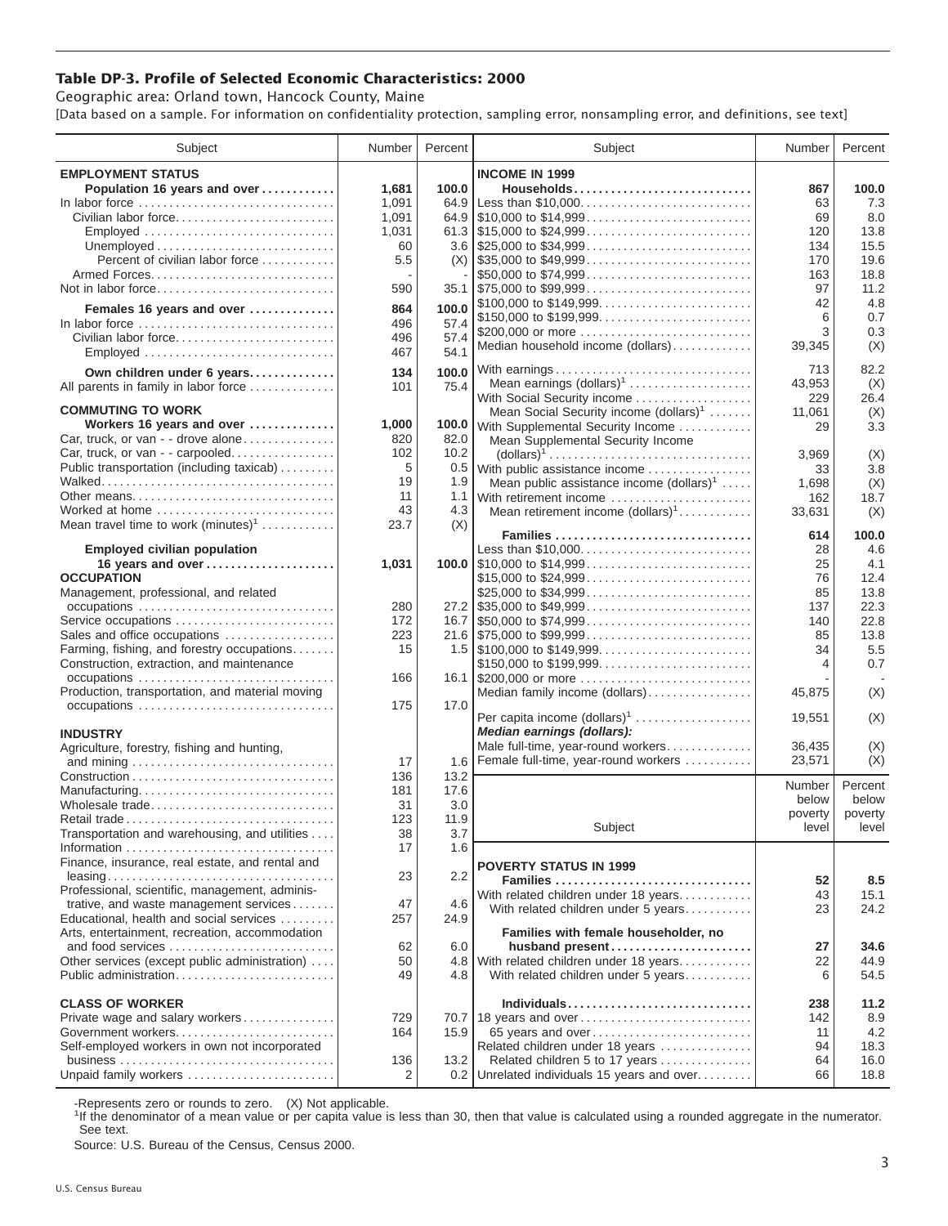## **Table DP-3. Profile of Selected Economic Characteristics: 2000**

Geographic area: Orland town, Hancock County, Maine [Data based on a sample. For information on confidentiality protection, sampling error, nonsampling error, and definitions, see text]

| Subject                                                                         | Number | Percent | Subject                                                                                | Number  | Percent |
|---------------------------------------------------------------------------------|--------|---------|----------------------------------------------------------------------------------------|---------|---------|
| <b>EMPLOYMENT STATUS</b>                                                        |        |         | <b>INCOME IN 1999</b>                                                                  |         |         |
| Population 16 years and over                                                    | 1,681  | 100.0   | Households                                                                             | 867     | 100.0   |
| In labor force                                                                  | 1,091  | 64.9    | Less than \$10,000                                                                     | 63      | 7.3     |
| Civilian labor force                                                            | 1,091  |         |                                                                                        | 69      | 8.0     |
| Employed                                                                        | 1,031  |         |                                                                                        | 120     | 13.8    |
|                                                                                 | 60     |         |                                                                                        | 134     | 15.5    |
| Percent of civilian labor force                                                 | 5.5    |         | $(X)$ \\ \$35,000 to \$49,999                                                          | 170     | 19.6    |
|                                                                                 |        |         | \$50,000 to \$74,999                                                                   | 163     | 18.8    |
| Not in labor force                                                              | 590    |         | $35.1$   \$75,000 to \$99,999                                                          | 97      | 11.2    |
|                                                                                 |        |         | \$100,000 to \$149,999                                                                 | 42      | 4.8     |
| Females 16 years and over                                                       | 864    | 100.0   |                                                                                        | 6       | 0.7     |
| In labor force $\ldots \ldots \ldots \ldots \ldots \ldots \ldots \ldots \ldots$ | 496    | 57.4    | \$200,000 or more                                                                      | 3       | 0.3     |
| Civilian labor force                                                            | 496    | 57.4    | Median household income (dollars)                                                      | 39,345  | (X)     |
| Employed                                                                        | 467    | 54.1    |                                                                                        |         |         |
| Own children under 6 years                                                      | 134    | 100.0   | With earnings                                                                          | 713     | 82.2    |
| All parents in family in labor force                                            | 101    | 75.4    | Mean earnings $(dollars)1$                                                             | 43,953  | (X)     |
|                                                                                 |        |         | With Social Security income                                                            | 229     | 26.4    |
| <b>COMMUTING TO WORK</b>                                                        |        |         | Mean Social Security income $(dollars)^1$                                              | 11,061  | (X)     |
| Workers 16 years and over                                                       | 1,000  | 100.0   | With Supplemental Security Income                                                      | 29      | 3.3     |
| Car, truck, or van - - drove alone                                              | 820    | 82.0    | Mean Supplemental Security Income                                                      |         |         |
| Car, truck, or van - - carpooled                                                | 102    | 10.2    | $\text{(dollars)}^1 \dots \dots \dots \dots \dots \dots \dots \dots \dots \dots \dots$ | 3.969   | (X)     |
| Public transportation (including taxicab)                                       | 5      | 0.5     | With public assistance income                                                          | 33      | 3.8     |
|                                                                                 | 19     | 1.9     | Mean public assistance income $(dollars)1 \ldots$ .                                    | 1,698   | (X)     |
| Other means                                                                     | 11     | 1.1     | With retirement income                                                                 | 162     | 18.7    |
| Worked at home                                                                  | 43     | 4.3     | Mean retirement income $(dollars)1$                                                    | 33,631  | (X)     |
| Mean travel time to work $(minutes)^1$                                          | 23.7   | (X)     | Families                                                                               | 614     | 100.0   |
| <b>Employed civilian population</b>                                             |        |         | Less than \$10,000                                                                     | 28      | 4.6     |
| 16 years and over                                                               | 1,031  |         |                                                                                        | 25      | 4.1     |
| <b>OCCUPATION</b>                                                               |        |         | \$15,000 to \$24,999                                                                   | 76      | 12.4    |
| Management, professional, and related                                           |        |         | \$25,000 to \$34,999                                                                   | 85      | 13.8    |
|                                                                                 | 280    |         |                                                                                        | 137     | 22.3    |
| Service occupations                                                             | 172    |         |                                                                                        | 140     | 22.8    |
| Sales and office occupations                                                    | 223    |         |                                                                                        | 85      | 13.8    |
| Farming, fishing, and forestry occupations                                      | 15     |         |                                                                                        | 34      | 5.5     |
| Construction, extraction, and maintenance                                       |        |         | \$150,000 to \$199,999                                                                 | 4       | 0.7     |
|                                                                                 | 166    |         | 16.1 \$200,000 or more                                                                 |         |         |
| Production, transportation, and material moving                                 |        |         | Median family income (dollars)                                                         | 45,875  | (X)     |
| occupations                                                                     | 175    | 17.0    |                                                                                        |         |         |
|                                                                                 |        |         | Per capita income $(dollars)1$                                                         | 19,551  | (X)     |
| <b>INDUSTRY</b>                                                                 |        |         | Median earnings (dollars):                                                             |         |         |
| Agriculture, forestry, fishing and hunting,                                     |        |         | Male full-time, year-round workers                                                     | 36,435  | (X)     |
|                                                                                 | 17     | 1.6     | Female full-time, year-round workers                                                   | 23,571  | (X)     |
|                                                                                 | 136    | 13.2    |                                                                                        | Number  | Percent |
| Manufacturing                                                                   | 181    | 17.6    |                                                                                        | below   | below   |
| Wholesale trade                                                                 | 31     | 3.0     |                                                                                        | poverty | poverty |
| Retail trade                                                                    | 123    | 11.9    | Subject                                                                                | level   | level   |
| Transportation and warehousing, and utilities                                   | 38     | 3.7     |                                                                                        |         |         |
|                                                                                 | 17     | 1.6     |                                                                                        |         |         |
| Finance, insurance, real estate, and rental and                                 |        |         | <b>POVERTY STATUS IN 1999</b>                                                          |         |         |
| Professional, scientific, management, adminis-                                  | 23     | 2.2     | Families                                                                               | 52      | 8.5     |
| trative, and waste management services                                          | 47     | 4.6     | With related children under 18 years                                                   | 43      | 15.1    |
| Educational, health and social services                                         | 257    | 24.9    | With related children under 5 years                                                    | 23      | 24.2    |
| Arts, entertainment, recreation, accommodation                                  |        |         | Families with female householder, no                                                   |         |         |
| and food services                                                               | 62     | 6.0     | husband present                                                                        | 27      | 34.6    |
| Other services (except public administration)                                   | 50     | 4.8     | With related children under 18 years                                                   | 22      | 44.9    |
| Public administration                                                           | 49     | 4.8     | With related children under 5 years                                                    | 6       | 54.5    |
|                                                                                 |        |         |                                                                                        |         |         |
| <b>CLASS OF WORKER</b>                                                          |        |         | Individuals                                                                            | 238     | 11.2    |
| Private wage and salary workers                                                 | 729    |         | 70.7 18 years and over                                                                 | 142     | 8.9     |
| Government workers                                                              | 164    | 15.9    | 65 years and over                                                                      | 11      | 4.2     |
| Self-employed workers in own not incorporated                                   |        |         | Related children under 18 years                                                        | 94      | 18.3    |
|                                                                                 | 136    | 13.2    | Related children 5 to 17 years                                                         | 64      | 16.0    |
| Unpaid family workers                                                           | 2      |         | 0.2 Unrelated individuals 15 years and over                                            | 66      | 18.8    |

-Represents zero or rounds to zero. (X) Not applicable.

<sup>1</sup>If the denominator of a mean value or per capita value is less than 30, then that value is calculated using a rounded aggregate in the numerator. See text.

Source: U.S. Bureau of the Census, Census 2000.